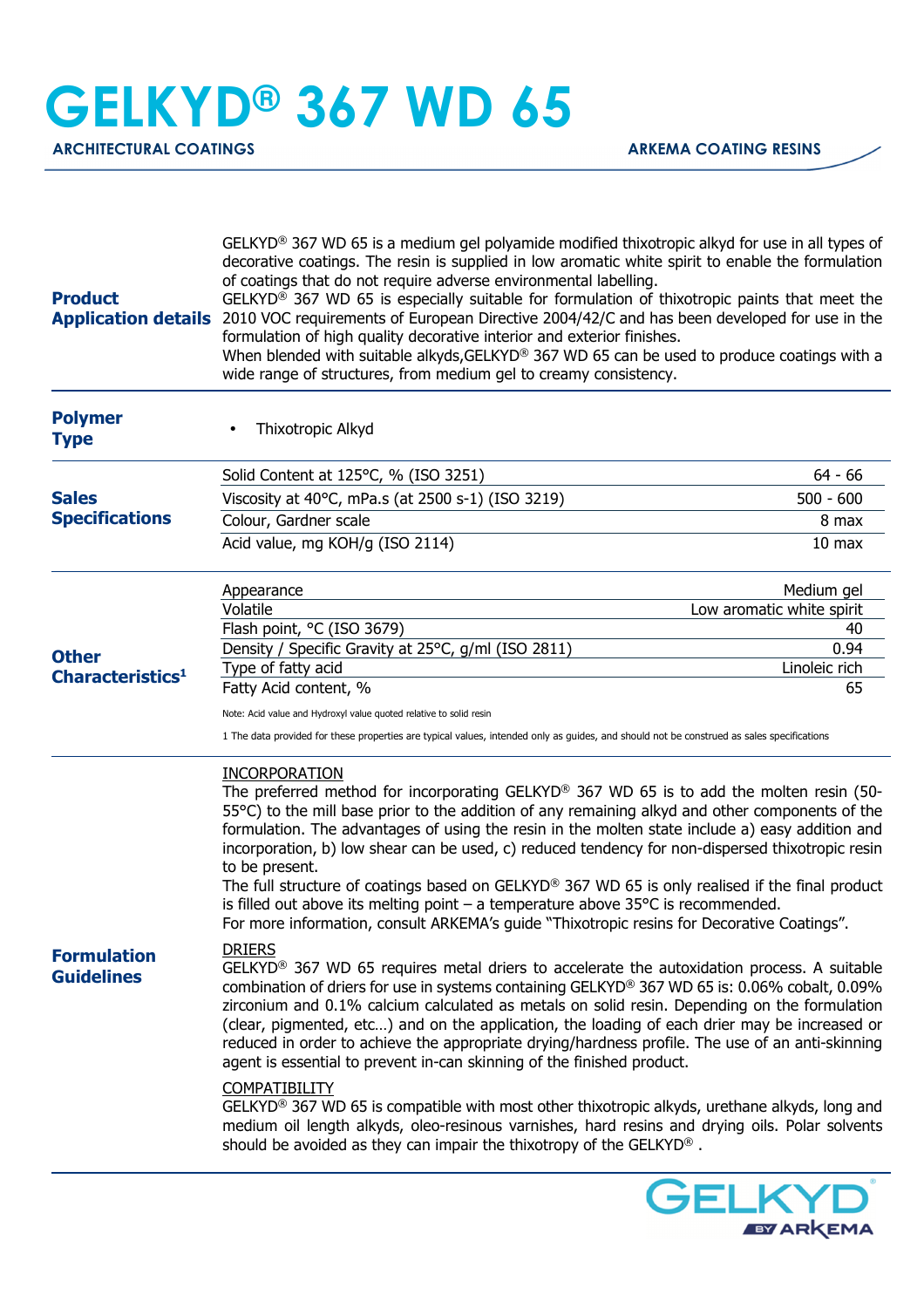## **GELKYD® 367 WD 65**

ARCHITECTURAL COATINGS **ARKEMA COATING RESINS** 

| <b>Product</b>                                                                          | $GELKYD^{\circledcirc}$ 367 WD 65 is a medium gel polyamide modified thixotropic alkyd for use in all types of<br>decorative coatings. The resin is supplied in low aromatic white spirit to enable the formulation<br>of coatings that do not require adverse environmental labelling.<br>GELKYD <sup>®</sup> 367 WD 65 is especially suitable for formulation of thixotropic paints that meet the<br>Application details 2010 VOC requirements of European Directive 2004/42/C and has been developed for use in the<br>formulation of high quality decorative interior and exterior finishes.<br>When blended with suitable alkyds, GELKYD® 367 WD 65 can be used to produce coatings with a<br>wide range of structures, from medium gel to creamy consistency.                                                                                                                                                                |                           |
|-----------------------------------------------------------------------------------------|------------------------------------------------------------------------------------------------------------------------------------------------------------------------------------------------------------------------------------------------------------------------------------------------------------------------------------------------------------------------------------------------------------------------------------------------------------------------------------------------------------------------------------------------------------------------------------------------------------------------------------------------------------------------------------------------------------------------------------------------------------------------------------------------------------------------------------------------------------------------------------------------------------------------------------|---------------------------|
| <b>Polymer</b><br><b>Type</b>                                                           | Thixotropic Alkyd                                                                                                                                                                                                                                                                                                                                                                                                                                                                                                                                                                                                                                                                                                                                                                                                                                                                                                                  |                           |
| <b>Sales</b><br><b>Specifications</b>                                                   | Solid Content at 125°C, % (ISO 3251)                                                                                                                                                                                                                                                                                                                                                                                                                                                                                                                                                                                                                                                                                                                                                                                                                                                                                               | $64 - 66$                 |
|                                                                                         | Viscosity at 40°C, mPa.s (at 2500 s-1) (ISO 3219)                                                                                                                                                                                                                                                                                                                                                                                                                                                                                                                                                                                                                                                                                                                                                                                                                                                                                  | $500 - 600$               |
|                                                                                         | Colour, Gardner scale                                                                                                                                                                                                                                                                                                                                                                                                                                                                                                                                                                                                                                                                                                                                                                                                                                                                                                              | 8 max                     |
|                                                                                         | Acid value, mg KOH/g (ISO 2114)                                                                                                                                                                                                                                                                                                                                                                                                                                                                                                                                                                                                                                                                                                                                                                                                                                                                                                    | 10 <sub>max</sub>         |
| <b>Other</b><br>Characteristics <sup>1</sup><br><b>Formulation</b><br><b>Guidelines</b> | Appearance                                                                                                                                                                                                                                                                                                                                                                                                                                                                                                                                                                                                                                                                                                                                                                                                                                                                                                                         | Medium gel                |
|                                                                                         | Volatile                                                                                                                                                                                                                                                                                                                                                                                                                                                                                                                                                                                                                                                                                                                                                                                                                                                                                                                           | Low aromatic white spirit |
|                                                                                         | Flash point, °C (ISO 3679)<br>Density / Specific Gravity at 25°C, g/ml (ISO 2811)                                                                                                                                                                                                                                                                                                                                                                                                                                                                                                                                                                                                                                                                                                                                                                                                                                                  | 40<br>0.94                |
|                                                                                         | Type of fatty acid                                                                                                                                                                                                                                                                                                                                                                                                                                                                                                                                                                                                                                                                                                                                                                                                                                                                                                                 | Linoleic rich             |
|                                                                                         | Fatty Acid content, %                                                                                                                                                                                                                                                                                                                                                                                                                                                                                                                                                                                                                                                                                                                                                                                                                                                                                                              | 65                        |
|                                                                                         | Note: Acid value and Hydroxyl value quoted relative to solid resin                                                                                                                                                                                                                                                                                                                                                                                                                                                                                                                                                                                                                                                                                                                                                                                                                                                                 |                           |
|                                                                                         | 1 The data provided for these properties are typical values, intended only as guides, and should not be construed as sales specifications                                                                                                                                                                                                                                                                                                                                                                                                                                                                                                                                                                                                                                                                                                                                                                                          |                           |
|                                                                                         | <b>INCORPORATION</b><br>The preferred method for incorporating GELKYD® 367 WD 65 is to add the molten resin (50-<br>55°C) to the mill base prior to the addition of any remaining alkyd and other components of the<br>formulation. The advantages of using the resin in the molten state include a) easy addition and<br>incorporation, b) low shear can be used, c) reduced tendency for non-dispersed thixotropic resin<br>to be present.<br>The full structure of coatings based on GELKYD® 367 WD 65 is only realised if the final product<br>is filled out above its melting point $-$ a temperature above 35 $\degree$ C is recommended.<br>For more information, consult ARKEMA's guide "Thixotropic resins for Decorative Coatings".                                                                                                                                                                                      |                           |
|                                                                                         | <b>DRIERS</b><br>GELKYD <sup>®</sup> 367 WD 65 requires metal driers to accelerate the autoxidation process. A suitable<br>combination of driers for use in systems containing GELKYD® 367 WD 65 is: 0.06% cobalt, 0.09%<br>zirconium and 0.1% calcium calculated as metals on solid resin. Depending on the formulation<br>(clear, pigmented, etc) and on the application, the loading of each drier may be increased or<br>reduced in order to achieve the appropriate drying/hardness profile. The use of an anti-skinning<br>agent is essential to prevent in-can skinning of the finished product.<br><b>COMPATIBILITY</b><br>GELKYD <sup>®</sup> 367 WD 65 is compatible with most other thixotropic alkyds, urethane alkyds, long and<br>medium oil length alkyds, oleo-resinous varnishes, hard resins and drying oils. Polar solvents<br>should be avoided as they can impair the thixotropy of the GELKYD <sup>®</sup> . |                           |